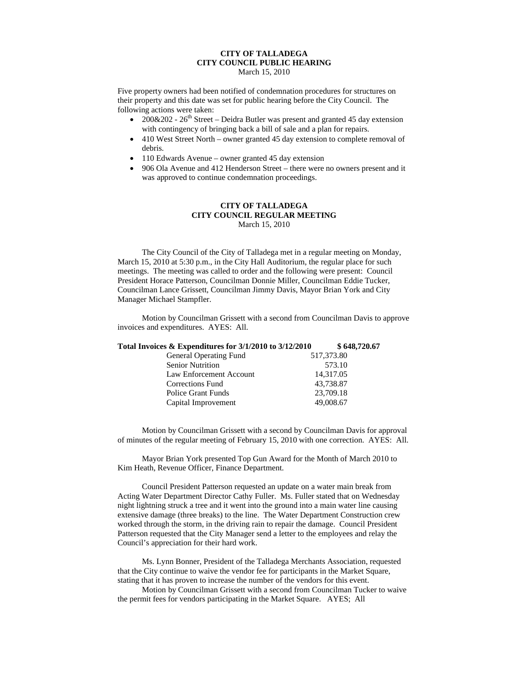## **CITY OF TALLADEGA CITY COUNCIL PUBLIC HEARING** March 15, 2010

Five property owners had been notified of condemnation procedures for structures on their property and this date was set for public hearing before the City Council. The following actions were taken:

- $200\&202 26$ <sup>th</sup> Street Deidra Butler was present and granted 45 day extension with contingency of bringing back a bill of sale and a plan for repairs.
- 410 West Street North owner granted 45 day extension to complete removal of debris.
- 110 Edwards Avenue owner granted 45 day extension
- 906 Ola Avenue and 412 Henderson Street there were no owners present and it was approved to continue condemnation proceedings.

## **CITY OF TALLADEGA CITY COUNCIL REGULAR MEETING** March 15, 2010

The City Council of the City of Talladega met in a regular meeting on Monday, March 15, 2010 at 5:30 p.m., in the City Hall Auditorium, the regular place for such meetings. The meeting was called to order and the following were present: Council President Horace Patterson, Councilman Donnie Miller, Councilman Eddie Tucker, Councilman Lance Grissett, Councilman Jimmy Davis, Mayor Brian York and City Manager Michael Stampfler.

Motion by Councilman Grissett with a second from Councilman Davis to approve invoices and expenditures. AYES: All.

| Total Invoices & Expenditures for 3/1/2010 to 3/12/2010 | \$648,720.67 |
|---------------------------------------------------------|--------------|
| General Operating Fund                                  | 517,373.80   |
| <b>Senior Nutrition</b>                                 | 573.10       |
| Law Enforcement Account                                 | 14,317.05    |
| Corrections Fund                                        | 43,738.87    |
| <b>Police Grant Funds</b>                               | 23,709.18    |
| Capital Improvement                                     | 49,008.67    |

Motion by Councilman Grissett with a second by Councilman Davis for approval of minutes of the regular meeting of February 15, 2010 with one correction. AYES: All.

Mayor Brian York presented Top Gun Award for the Month of March 2010 to Kim Heath, Revenue Officer, Finance Department.

Council President Patterson requested an update on a water main break from Acting Water Department Director Cathy Fuller. Ms. Fuller stated that on Wednesday night lightning struck a tree and it went into the ground into a main water line causing extensive damage (three breaks) to the line. The Water Department Construction crew worked through the storm, in the driving rain to repair the damage. Council President Patterson requested that the City Manager send a letter to the employees and relay the Council's appreciation for their hard work.

Ms. Lynn Bonner, President of the Talladega Merchants Association, requested that the City continue to waive the vendor fee for participants in the Market Square, stating that it has proven to increase the number of the vendors for this event.

Motion by Councilman Grissett with a second from Councilman Tucker to waive the permit fees for vendors participating in the Market Square. AYES; All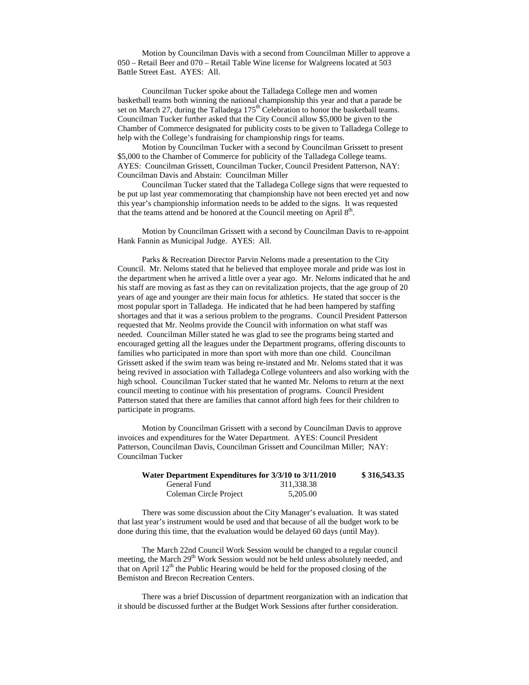Motion by Councilman Davis with a second from Councilman Miller to approve a 050 – Retail Beer and 070 – Retail Table Wine license for Walgreens located at 503 Battle Street East. AYES: All.

Councilman Tucker spoke about the Talladega College men and women basketball teams both winning the national championship this year and that a parade be set on March 27, during the Talladega 175<sup>th</sup> Celebration to honor the basketball teams. Councilman Tucker further asked that the City Council allow \$5,000 be given to the Chamber of Commerce designated for publicity costs to be given to Talladega College to help with the College's fundraising for championship rings for teams.

Motion by Councilman Tucker with a second by Councilman Grissett to present \$5,000 to the Chamber of Commerce for publicity of the Talladega College teams. AYES: Councilman Grissett, Councilman Tucker, Council President Patterson, NAY: Councilman Davis and Abstain: Councilman Miller

Councilman Tucker stated that the Talladega College signs that were requested to be put up last year commemorating that championship have not been erected yet and now this year's championship information needs to be added to the signs. It was requested that the teams attend and be honored at the Council meeting on April  $8<sup>th</sup>$ .

Motion by Councilman Grissett with a second by Councilman Davis to re-appoint Hank Fannin as Municipal Judge. AYES: All.

Parks & Recreation Director Parvin Neloms made a presentation to the City Council. Mr. Neloms stated that he believed that employee morale and pride was lost in the department when he arrived a little over a year ago. Mr. Neloms indicated that he and his staff are moving as fast as they can on revitalization projects, that the age group of 20 years of age and younger are their main focus for athletics. He stated that soccer is the most popular sport in Talladega. He indicated that he had been hampered by staffing shortages and that it was a serious problem to the programs. Council President Patterson requested that Mr. Neolms provide the Council with information on what staff was needed. Councilman Miller stated he was glad to see the programs being started and encouraged getting all the leagues under the Department programs, offering discounts to families who participated in more than sport with more than one child. Councilman Grissett asked if the swim team was being re-instated and Mr. Neloms stated that it was being revived in association with Talladega College volunteers and also working with the high school. Councilman Tucker stated that he wanted Mr. Neloms to return at the next council meeting to continue with his presentation of programs. Council President Patterson stated that there are families that cannot afford high fees for their children to participate in programs.

Motion by Councilman Grissett with a second by Councilman Davis to approve invoices and expenditures for the Water Department. AYES: Council President Patterson, Councilman Davis, Councilman Grissett and Councilman Miller; NAY: Councilman Tucker

| Water Department Expenditures for 3/3/10 to 3/11/2010 |            | \$316,543.35 |
|-------------------------------------------------------|------------|--------------|
| General Fund                                          | 311.338.38 |              |
| Coleman Circle Project                                | 5.205.00   |              |

There was some discussion about the City Manager's evaluation. It was stated that last year's instrument would be used and that because of all the budget work to be done during this time, that the evaluation would be delayed 60 days (until May).

The March 22nd Council Work Session would be changed to a regular council meeting, the March  $29<sup>th</sup>$  Work Session would not be held unless absolutely needed, and that on April  $12<sup>th</sup>$  the Public Hearing would be held for the proposed closing of the Bemiston and Brecon Recreation Centers.

There was a brief Discussion of department reorganization with an indication that it should be discussed further at the Budget Work Sessions after further consideration.